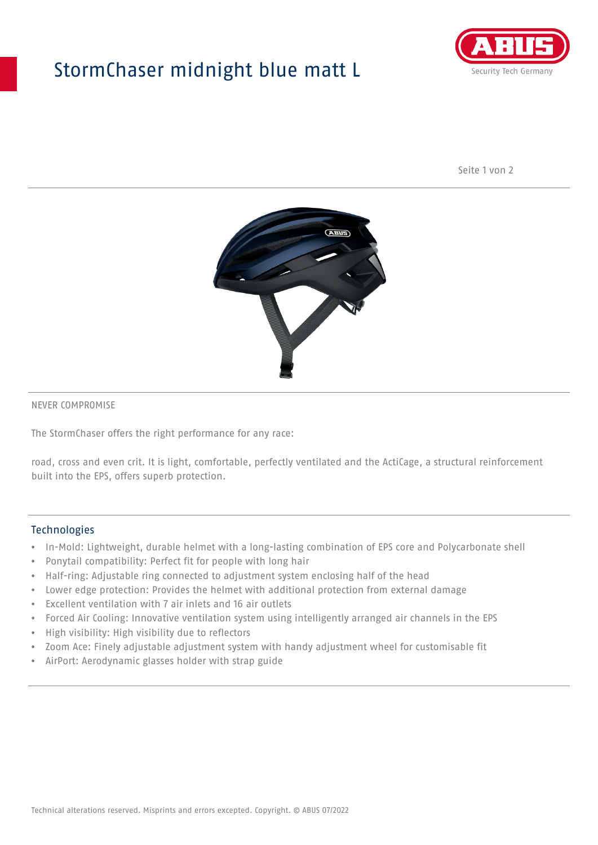## StormChaser midnight blue matt L



Seite 1 von 2



#### NEVER COMPROMISE

The StormChaser offers the right performance for any race:

road, cross and even crit. It is light, comfortable, perfectly ventilated and the ActiCage, a structural reinforcement built into the EPS, offers superb protection.

#### Technologies

- In-Mold: Lightweight, durable helmet with a long-lasting combination of EPS core and Polycarbonate shell
- Ponytail compatibility: Perfect fit for people with long hair
- Half-ring: Adjustable ring connected to adjustment system enclosing half of the head
- Lower edge protection: Provides the helmet with additional protection from external damage
- Excellent ventilation with 7 air inlets and 16 air outlets
- Forced Air Cooling: Innovative ventilation system using intelligently arranged air channels in the EPS
- High visibility: High visibility due to reflectors
- Zoom Ace: Finely adjustable adjustment system with handy adjustment wheel for customisable fit
- AirPort: Aerodynamic glasses holder with strap guide